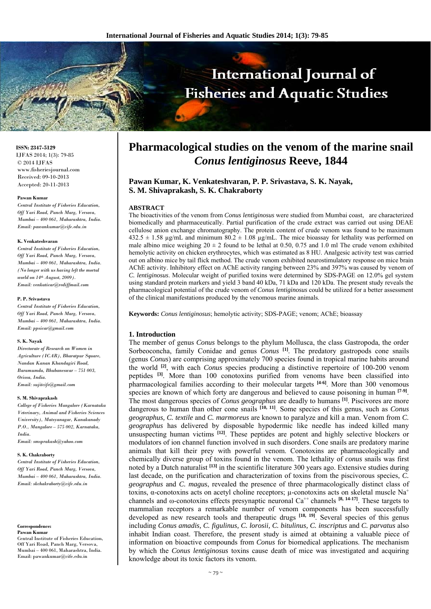# International Journal of **Fisheries and Aquatic Studies**

#### **ISSN: 2347-5129**

IJFAS 2014; 1(3): 79-85 © 2014 IJFAS www.fisheriesjournal.com Received: 09-10-2013 Accepted: 20-11-2013

#### **Pawan Kumar**

*Central Institute of Fisheries Education, Off Yari Road, Panch Marg, Versova, Mumbai – 400 061, Maharashtra, India. Email: pawankumar@cife.edu.in* 

#### **K. Venkateshvaran**

*Central Institute of Fisheries Education, Off Yari Road, Panch Marg, Versova, Mumbai – 400 061, Maharashtra, India. (No longer with us having left the mortal world on 14th August, 2009). Email: venkaticar@rediffmail.com* 

#### **P. P. Srivastava**

*Central Institute of Fisheries Education, Off Yari Road, Panch Marg, Versova, Mumbai – 400 061, Maharashtra, India. Email: ppsicar@gmail.com* 

#### **S. K. Nayak**

*Directorate of Research on Women in Agriculture (ICAR), Bharatpur Square, Nandan Kanan Khandagiri Road, Baramumda, Bhubaneswar – 751 003, Orissa, India. Email: sujitcife@gmail.com* 

#### **S. M. Shivaprakash**

*College of Fisheries Mangalore (Karnataka Veterinary, Animal and Fisheries Sciences University), Matsyanagar, Kanakanady P.O., Mangalore – 575 002, Karnataka, India. Email: smsprakash@yahoo.com* 

#### **S. K. Chakraborty**

*Central Institute of Fisheries Education, Off Yari Road, Panch Marg, Versova, Mumbai – 400 061, Maharashtra, India. Email: skchakraborty@cife.edu.in* 

**Correspondence: Pawan Kumar** 

Central Institute of Fisheries Education, Off Yari Road, Panch Marg, Versova, Mumbai – 400 061, Maharashtra, India. Email: pawankumar@cife.edu.in

# **Pharmacological studies on the venom of the marine snail**  *Conus lentiginosus* **Reeve, 1844**

**Pawan Kumar, K. Venkateshvaran, P. P. Srivastava, S. K. Nayak, S. M. Shivaprakash, S. K. Chakraborty** 

#### **ABSTRACT**

The bioactivities of the venom from *Conus lentiginosus* were studied from Mumbai coast, are characterized biomedically and pharmaceutically. Partial purification of the crude extract was carried out using DEAE cellulose anion exchange chromatography. The protein content of crude venom was found to be maximum  $432.5 \pm 1.58$  ug/mL and minimum  $80.2 \pm 1.08$  ug/mL. The mice bioassay for lethality was performed on male albino mice weighing  $20 \pm 2$  found to be lethal at 0.50, 0.75 and 1.0 ml The crude venom exhibited hemolytic activity on chicken erythrocytes, which was estimated as 8 HU. Analgesic activity test was carried out on albino mice by tail flick method. The crude venom exhibited neurostimulatory response on mice brain AChE activity. Inhibitory effect on AChE activity ranging between 23% and 397% was caused by venom of *C. lentiginosus*. Molecular weight of purified toxins were determined by SDS-PAGE on 12.0% gel system using standard protein markers and yield 3 band 40 kDa, 71 kDa and 120 kDa. The present study reveals the pharmacological potential of the crude venom of *Conus lentiginosus* could be utilized for a better assessment of the clinical manifestations produced by the venomous marine animals.

**Keywords:** *Conus lentiginosus*; hemolytic activity; SDS-PAGE; venom; AChE; bioassay

#### **1. Introduction**

The member of genus *Conus* belongs to the phylum Mollusca, the class Gastropoda, the order Sorbeoconcha, family Conidae and genus *Conus* **[1]**. The predatory gastropods cone snails (genus *Conus*) are comprising approximately 700 species found in tropical marine habits around the world **[2]**, with each *Conus* species producing a distinctive repertoire of 100-200 venom peptides **[3]**. More than 100 conotoxins purified from venoms have been classified into pharmacological families according to their molecular targets **[4-6]**. More than 300 venomous species are known of which forty are dangerous and believed to cause poisoning in human <sup>[7-9]</sup>. The most dangerous species of *Conus geographus* are deadly to humans **[1]**. Piscivores are more dangerous to human than other cone snails **[10, 11]**. Some species of this genus, such as *Conus geographus, C. textile* and *C. marmoreus* are known to paralyze and kill a man. Venom from *C. geographus* has delivered by disposable hypodermic like needle has indeed killed many unsuspecting human victims <sup>[12]</sup>. These peptides are potent and highly selective blockers or modulators of ion channel function involved in such disorders. Cone snails are predatory marine animals that kill their prey with powerful venom. Conotoxins are pharmacologically and chemically diverse group of toxins found in the venom. The lethality of *conus* snails was first noted by a Dutch naturalist **[13]** in the scientific literature 300 years ago. Extensive studies during last decade, on the purification and characterization of toxins from the piscivorous species, *C. geographus* and *C. magus*, revealed the presence of three pharmacologically distinct class of toxins, α-conotoxins acts on acetyl choline receptors; µ-conotoxins acts on skeletal muscle Na+ channels and  $\omega$ -conotoxins effects presynaptic neuronal Ca<sup>++</sup> channels <sup>[8, 14-17]</sup>. These targets to mammalian receptors a remarkable number of venom components has been successfully developed as new research tools and therapeutic drugs <sup>[18, 19]</sup>. Several species of this genus including *Conus amadis, C. figulinus, C. lorosii, C. bitulinus, C. inscriptus* and *C. parvatus* also inhabit Indian coast. Therefore, the present study is aimed at obtaining a valuable piece of information on bioactive compounds from *Conus* for biomedical applications. The mechanism by which the *Conus lentiginosus* toxins cause death of mice was investigated and acquiring knowledge about its toxic factors its venom.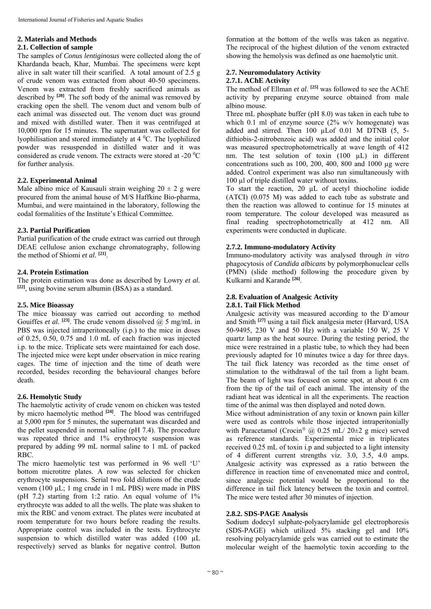# **2. Materials and Methods**

#### **2.1. Collection of sample**

The samples of *Conus lentiginosus* were collected along the of Khardanda beach, Khar, Mumbai. The specimens were kept alive in salt water till their scarified. A total amount of 2.5 g of crude venom was extracted from about 40-50 specimens. Venom was extracted from freshly sacrificed animals as described by **[20]**. The soft body of the animal was removed by cracking open the shell. The venom duct and venom bulb of each animal was dissected out. The venom duct was ground and mixed with distilled water. Then it was centrifuged at 10,000 rpm for 15 minutes. The supernatant was collected for lyophilisation and stored immediately at 4 °C. The lyophilized powder was resuspended in distilled water and it was considered as crude venom. The extracts were stored at -20 $\mathrm{^{0}C}$ for further analysis.

#### **2.2. Experimental Animal**

Male albino mice of Kausauli strain weighing  $20 \pm 2$  g were procured from the animal house of M/S Haffkine Bio-pharma, Mumbai, and were maintained in the laboratory, following the codal formalities of the Institute's Ethical Committee.

#### **2.3. Partial Purification**

Partial purification of the crude extract was carried out through DEAE cellulose anion exchange chromatography, following the method of Shiomi *et al.* **[21]**.

#### **2.4. Protein Estimation**

The protein estimation was done as described by Lowry *et al.*  **[22]**, using bovine serum albumin (BSA) as a standard.

#### **2.5. Mice Bioassay**

The mice bioassay was carried out according to method Gouiffes *et al.* <sup>[23]</sup>. The crude venom dissolved  $\overline{a}$  5 mg/mL in PBS was injected intraperitoneally (i.p.) to the mice in doses of 0.25, 0.50, 0.75 and 1.0 mL of each fraction was injected i.p. to the mice. Triplicate sets were maintained for each dose. The injected mice were kept under observation in mice rearing cages. The time of injection and the time of death were recorded, besides recording the behavioural changes before death.

## **2.6. Hemolytic Study**

The haemolytic activity of crude venom on chicken was tested by micro haemolytic method **[24]**. The blood was centrifuged at 5,000 rpm for 5 minutes, the supernatant was discarded and the pellet suspended in normal saline (pH 7.4). The procedure was repeated thrice and 1% erythrocyte suspension was prepared by adding 99 mL normal saline to 1 mL of packed RBC.

The micro haemolytic test was performed in 96 well 'U' bottom microtitre plates. A row was selected for chicken erythrocyte suspensions. Serial two fold dilutions of the crude venom (100 µL; 1 mg crude in 1 mL PBS) were made in PBS (pH 7.2) starting from 1:2 ratio. An equal volume of  $1\%$ erythrocyte was added to all the wells. The plate was shaken to mix the RBC and venom extract. The plates were incubated at room temperature for two hours before reading the results. Appropriate control was included in the tests. Erythrocyte suspension to which distilled water was added (100 µL respectively) served as blanks for negative control. Button

formation at the bottom of the wells was taken as negative. The reciprocal of the highest dilution of the venom extracted showing the hemolysis was defined as one haemolytic unit.

# **2.7. Neuromodulatory Activity**

# **2.7.1. AChE Activity**

The method of Ellman *et al*. **[25]** was followed to see the AChE activity by preparing enzyme source obtained from male albino mouse.

Three mL phosphate buffer (pH 8.0) was taken in each tube to which 0.1 ml of enzyme source  $(2\%$  w/v homogenate) was added and stirred. Then  $100 \mu$ Lof  $0.01$  M DTNB  $(5, 5$ dithiobis-2-nitrobenzoic acid) was added and the initial color was measured spectrophotometrically at wave length of 412 nm. The test solution of toxin (100 µL) in different concentrations such as  $100$ ,  $200$ ,  $400$ ,  $800$  and  $1000 \mu$ g were added. Control experiment was also run simultaneously with 100 µl of triple distilled water without toxins.

To start the reaction, 20 µL of acetyl thiocholine iodide (ATCI) (0.075 M) was added to each tube as substrate and then the reaction was allowed to continue for 15 minutes at room temperature. The colour developed was measured as final reading spectrophotometrically at 412 nm. All experiments were conducted in duplicate.

#### **2.7.2. Immuno-modulatory Activity**

Immuno-modulatory activity was analysed through *in vitro* phagocytosis of *Candida albicans* by polymorphonuclear cells (PMN) (slide method) following the procedure given by Kulkarni and Karande **[26]**.

# **2.8. Evaluation of Analgesic Activity**

# **2.8.1. Tail Flick Method**

Analgesic activity was measured according to the D`amour and Smith **[27]** using a tail flick analgesia meter (Harvard, USA 50-9495, 230 V and 50 Hz) with a variable 150 W, 25 V quartz lamp as the heat source. During the testing period, the mice were restrained in a plastic tube, to which they had been previously adapted for 10 minutes twice a day for three days. The tail flick latency was recorded as the time onset of stimulation to the withdrawal of the tail from a light beam. The beam of light was focused on some spot, at about 6 cm from the tip of the tail of each animal. The intensity of the radiant heat was identical in all the experiments. The reaction time of the animal was then displayed and noted down.

Mice without administration of any toxin or known pain killer were used as controls while those injected intraperitonially with Paracetamol (Crocin<sup>®</sup> @ 0.25 mL/ 20 $\pm$ 2 g mice) served as reference standards. Experimental mice in triplicates received 0.25 mL of toxin i.p and subjected to a light intensity of 4 different current strengths viz. 3.0, 3.5, 4.0 amps. Analgesic activity was expressed as a ratio between the difference in reaction time of envenomated mice and control, since analgesic potential would be proportional to the difference in tail flick latency between the toxin and control. The mice were tested after 30 minutes of injection.

#### **2.8.2. SDS-PAGE Analysis**

Sodium dodecyl sulphate-polyacrylamide gel electrophoresis (SDS-PAGE) which utilized 5% stacking gel and 10% resolving polyacrylamide gels was carried out to estimate the molecular weight of the haemolytic toxin according to the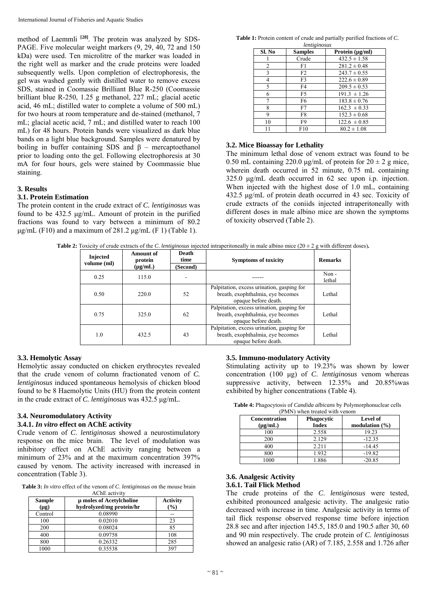method of Laemmli **[28]**. The protein was analyzed by SDS-PAGE. Five molecular weight markers (9, 29, 40, 72 and 150 kDa) were used. Ten microlitre of the marker was loaded in the right well as marker and the crude proteins were loaded subsequently wells. Upon completion of electrophoresis, the gel was washed gently with distilled water to remove excess SDS, stained in Coomassie Brilliant Blue R-250 (Coomassie brilliant blue R-250, 1.25 g methanol, 227 mL; glacial acetic acid, 46 mL; distilled water to complete a volume of 500 mL) for two hours at room temperature and de-stained (methanol, 7 mL; glacial acetic acid, 7 mL; and distilled water to reach 100 mL) for 48 hours. Protein bands were visualized as dark blue bands on a light blue background. Samples were denatured by boiling in buffer containing SDS and  $\beta$  – mercaptoethanol prior to loading onto the gel. Following electrophoresis at 30 mA for four hours, gels were stained by Coommassie blue staining.

#### **3. Results**

#### **3.1. Protein Estimation**

The protein content in the crude extract of *C. lentiginosus* was found to be 432.5 μg/mL. Amount of protein in the purified fractions was found to vary between a minimum of 80.2 μg/mL (F10) and a maximum of 281.2 μg/mL (F 1) (Table 1).

**Table 1:** Protein content of crude and partially purified fractions of *C. lentiginosus*

| Sl. No | <b>Samples</b> | Protein $(\mu g/ml)$ |
|--------|----------------|----------------------|
|        | Crude          | $432.5 \pm 1.58$     |
| 2      | F1             | $281.2 \pm 0.48$     |
| 3      | F <sub>2</sub> | $243.7 \pm 0.55$     |
| 4      | F3             | $222.6 \pm 0.89$     |
| 5      | F4             | $209.5 \pm 0.53$     |
| 6      | F5             | $191.3 \pm 1.26$     |
| 7      | F6             | $183.8 \pm 0.76$     |
| 8      | F7             | $162.3 \pm 0.33$     |
| 9      | F8             | $152.3 \pm 0.68$     |
| 10     | F9             | $122.6 \pm 0.85$     |
|        | F10            | $80.2 \pm 1.08$      |

#### **3.2. Mice Bioassay for Lethality**

The minimum lethal dose of venom extract was found to be 0.50 mL containing 220.0 μg/mL of protein for  $20 \pm 2$  g mice, wherein death occurred in 52 minute, 0.75 mL containing 325.0 μg/mL death occurred in 62 sec upon i.p. injection. When injected with the highest dose of 1.0 mL, containing 432.5 μg/mL of protein death occurred in 43 sec. Toxicity of crude extracts of the coniids injected intraperitoneally with different doses in male albino mice are shown the symptoms of toxicity observed (Table 2).

**Table 2:** Toxicity of crude extracts of the *C*. *lentiginosus* injected intraperitoneally in male albino mice ( $20 \pm 2$  g with different doses).

| <b>Injected</b><br>volume (ml) | <b>Amount of</b><br>protein<br>$(\mu g/mL)$ | Death<br>time<br>(Second) | <b>Symptoms of toxicity</b>                                                                             | <b>Remarks</b>    |
|--------------------------------|---------------------------------------------|---------------------------|---------------------------------------------------------------------------------------------------------|-------------------|
| 0.25                           | 115.0                                       |                           |                                                                                                         | $Non -$<br>lethal |
| 0.50                           | 220.0                                       | 52                        | Palpitation, excess urination, gasping for<br>breath, exophthalmia, eye becomes<br>opaque before death. | Lethal            |
| 0.75                           | 325.0                                       | 62                        | Palpitation, excess urination, gasping for<br>breath, exophthalmia, eye becomes<br>opaque before death. | Lethal            |
| 1.0<br>432.5                   |                                             | 43                        | Palpitation, excess urination, gasping for<br>breath, exophthalmia, eye becomes<br>opaque before death. | Lethal            |

#### **3.3. Hemolytic Assay**

Hemolytic assay conducted on chicken erythrocytes revealed that the crude venom of column fractionated venom of *C. lentiginosus* induced spontaneous hemolysis of chicken blood found to be 8 Haemolytic Units (HU) from the protein content in the crude extract of *C. lentiginosus* was 432.5 μg/mL.

#### **3.4. Neuromodulatory Activity**

### **3.4.1.** *In vitro* **effect on AChE activity**

Crude venom of *C*. *lentiginosus* showed a neurostimulatory response on the mice brain. The level of modulation was inhibitory effect on AChE activity ranging between a minimum of 23% and at the maximum concentration 397% caused by venom. The activity increased with increased in concentration (Table 3).

**Table 3:** *In vitro* effect of the venom of *C*. *lentiginosus* on the mouse brain

| Sample<br>$(\mu g)$ | µ moles of Acetylcholine<br>hydrolyzed/mg protein/hr | <b>Activity</b><br>$\left( \frac{0}{0} \right)$ |
|---------------------|------------------------------------------------------|-------------------------------------------------|
| Control             | 0.08990                                              |                                                 |
| 100                 | 0.02010                                              | 23                                              |
| 200                 | 0.08024                                              | 85                                              |
| 400                 | 0.09758                                              | 108                                             |
| 800                 | 0.26332                                              | 285                                             |
| 1000                | 0.35538                                              | 397                                             |

#### **3.5. Immuno-modulatory Activity**

Stimulating activity up to 19.23% was shown by lower concentration (100 μg) of *C*. *lentiginosus* venom whereas suppressive activity, between 12.35% and 20.85%was exhibited by higher concentrations (Table 4).

| Table 4: Phagocytosis of <i>Candida albicans</i> by Polymorphonuclear cells |  |  |  |  |  |  |  |
|-----------------------------------------------------------------------------|--|--|--|--|--|--|--|
|                                                                             |  |  |  |  |  |  |  |

| (PMN) when treated with venom        |                                   |                                        |  |  |  |  |  |
|--------------------------------------|-----------------------------------|----------------------------------------|--|--|--|--|--|
| <b>Concentration</b><br>$(\mu g/mL)$ | <b>Phagocytic</b><br><b>Index</b> | Level of<br>modulation $(\frac{6}{6})$ |  |  |  |  |  |
| 100                                  | 2.558                             | 19.23                                  |  |  |  |  |  |
| 200                                  | 2.129                             | $-12.35$                               |  |  |  |  |  |
| 400                                  | 2.211                             | $-14.45$                               |  |  |  |  |  |
| 800                                  | 1.932                             | $-19.82$                               |  |  |  |  |  |
| 1000                                 | 1.886                             | $-20.85$                               |  |  |  |  |  |

#### **3.6. Analgesic Activity 3.6.1. Tail Flick Method**

The crude proteins of the *C*. *lentiginosus* were tested, exhibited pronounced analgesic activity. The analgesic ratio decreased with increase in time. Analgesic activity in terms of tail flick response observed response time before injection 28.8 sec and after injection 145.5, 185.0 and 190.5 after 30, 60 and 90 min respectively. The crude protein of *C*. *lentiginosus*  showed an analgesic ratio (AR) of 7.185, 2.558 and 1.726 after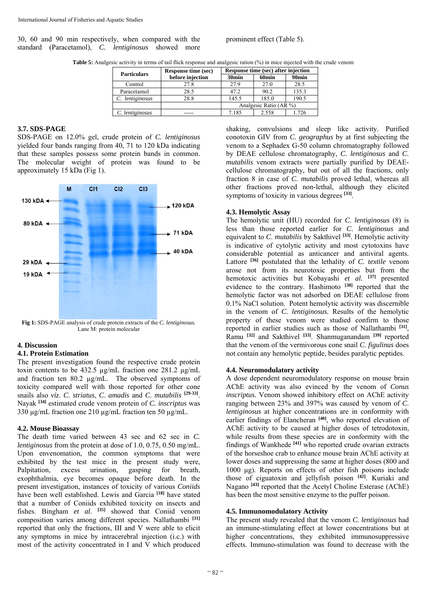30, 60 and 90 min respectively, when compared with the standard (Paracetamol), *C. lentiginosus* showed more prominent effect (Table 5).

| <b>Table 5:</b> Analgesic activity in terms of tail flick response and analgesic ration (%) in mice injected with the crude venom |  |  |  |
|-----------------------------------------------------------------------------------------------------------------------------------|--|--|--|
|-----------------------------------------------------------------------------------------------------------------------------------|--|--|--|

| <b>Particulars</b> | <b>Response time (sec)</b> | Response time (sec) after injection |                   |                   |  |  |  |
|--------------------|----------------------------|-------------------------------------|-------------------|-------------------|--|--|--|
|                    | before injection           | 30 <sub>min</sub>                   | 60 <sub>min</sub> | 90 <sub>min</sub> |  |  |  |
| Control            | 27.8                       | 27.9                                | 27.0              | 28.5              |  |  |  |
| Paracetamol        | 28.5                       | 47.2                                | 90.2              | 135.3             |  |  |  |
| C. lentiginosus    | 28.8                       |                                     | 185.0             | 190.5             |  |  |  |
|                    |                            | Analgesic Ratio (AR %)              |                   |                   |  |  |  |
| C. lentiginosus    |                            | 7.185                               | 2.558             | -726              |  |  |  |

#### **3.7. SDS-PAGE**

SDS-PAGE on 12.0% gel, crude protein of *C. lentiginosus*  yielded four bands ranging from 40, 71 to 120 kDa indicating that these samples possess some protein bands in common. The molecular weight of protein was found to be approximately 15 kDa (Fig 1).



**Fig 1:** SDS-PAGE analysis of crude protein extracts of the *C. lentiginosus.* Lane M: protein molecular

#### **4. Discussion**

#### **4.1. Protein Estimation**

The present investigation found the respective crude protein toxin contents to be 432.5 µg/mL fraction one 281.2 µg/mL and fraction ten 80.2 µg/mL. The observed symptoms of toxicity compared well with those reported for other cone snails also *viz*. *C*. *striatus*, *C*. *amadis* and *C*. *mutabilis* **[29-33]**. Nayak **[34]** estimated crude venom protein of *C. inscriptus* was 330 µg/mL fraction one 210 µg/mL fraction ten 50 µg/mL.

#### **4.2. Mouse Bioassay**

The death time varied between 43 sec and 62 sec in *C. lentiginosus* from the protein at dose of 1.0, 0.75, 0.50 mg/mL. Upon envenomation, the common symptoms that were exhibited by the test mice in the present study were, Palpitation, excess urination, gasping for breath, exophthalmia, eye becomes opaque before death. In the present investigation, instances of toxicity of various *Coniids* have been well established. Lewis and Garcia **[18]** have stated that a number of Coniids exhibited toxicity on insects and fishes. Bingham *et al.* <sup>[35]</sup> showed that Coniid venom composition varies among different species. Nallathambi **[31]** reported that only the fractions, III and V were able to elicit any symptoms in mice by intracerebral injection (i.c.) with most of the activity concentrated in I and V which produced

shaking, convulsions and sleep like activity. Purified conotoxin GIV from *C*. *geographus* by at first subjecting the venom to a Sephadex G-50 column chromatography followed by DEAE cellulose chromatography, *C*. *lentiginosus* and *C*. *mutabilis* venom extracts were partially purified by DEAEcellulose chromatography, but out of all the fractions, only fraction 8 in case of *C*. *mutabilis* proved lethal, whereas all other fractions proved non-lethal, although they elicited symptoms of toxicity in various degrees **[33]**.

#### **4.3. Hemolytic Assay**

The hemolytic unit (HU) recorded for *C*. *lentiginosus* (8) is less than those reported earlier for *C*. *lentiginosus* and equivalent to *C*. *mutabilis* by Sakthivel **[33]**. Hemolytic activity is indicative of cytolytic activity and most cytotoxins have considerable potential as anticancer and antiviral agents. Lattore<sup>[36]</sup> postulated that the lethality of *C. textile* venom arose not from its neurotoxic properties but from the hemotoxic activities but Kobayashi *et al.* **[37]** presented evidence to the contrary. Hashimoto <sup>[38]</sup> reported that the hemolytic factor was not adsorbed on DEAE cellulose from 0.1% NaCl solution. Potent hemolytic activity was discernible in the venom of *C*. *lentiginosus.* Results of the hemolytic property of these venom were studied confirm to those reported in earlier studies such as those of Nallathambi **[31]**, Ramu **[32]** and Sakthivel **[33]**. Shanmuganandam **[39]** reported that the venom of the vermivorous cone snail *C*. *figulinus* does not contain any hemolytic peptide, besides paralytic peptides.

#### **4.4. Neuromodulatory activity**

A dose dependent neuromodulatory response on mouse brain AChE activity was also evinced by the venom of *Conus inscriptus.* Venom showed inhibitory effect on AChE activity ranging between 23% and 397% was caused by venom of *C*. *lentiginosus* at higher concentrations are in conformity with earlier findings of Elancheran <sup>[40]</sup>, who reported elevation of AChE activity to be caused at higher doses of tetrodotoxin, while results from these species are in conformity with the findings of Wankhede **[41]** who reported crude ovarian extracts of the horseshoe crab to enhance mouse brain AChE activity at lower doses and suppressing the same at higher doses (800 and 1000 μg). Reports on effects of other fish poisons include those of ciguatoxin and jellyfish poison **[42]**. Kuriaki and Nagano **[43]** reported that the Acetyl Choline Esterase (AChE) has been the most sensitive enzyme to the puffer poison.

#### **4.5. Immunomodulatory Activity**

The present study revealed that the venom *C. lentiginosus* had an immune-stimulating effect at lower concentrations but at higher concentrations, they exhibited immunosuppressive effects. Immuno-stimulation was found to decrease with the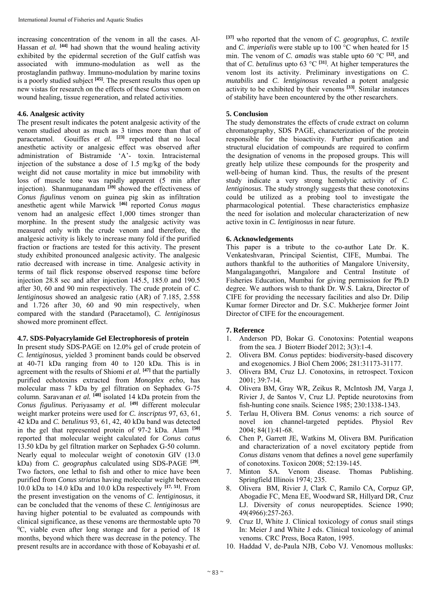increasing concentration of the venom in all the cases. Al-Hassan *et al.* <sup>[44]</sup> had shown that the wound healing activity exhibited by the epidermal secretion of the Gulf catfish was associated with immuno-modulation as well as the prostaglandin pathway. Immuno-modulation by marine toxins is a poorly studied subject **[45]**. The present results thus open up new vistas for research on the effects of these *Conus* venom on wound healing, tissue regeneration, and related activities.

#### **4.6. Analgesic activity**

The present result indicates the potent analgesic activity of the venom studied about as much as 3 times more than that of paracetamol. Gouiffes *et al.* <sup>[23]</sup> reported that no local anesthetic activity or analgesic effect was observed after administration of Bistramide 'A'- toxin. Intracisternal injection of the substance a dose of 1.5 mg/kg of the body weight did not cause mortality in mice but immobility with loss of muscle tone was rapidly apparent (5 min after injection). Shanmuganandam **[39]** showed the effectiveness of *Conus figulinus* venom on guinea pig skin as infiltration anesthetic agent while Marwick **[46]** reported *Conus magus* venom had an analgesic effect 1,000 times stronger than morphine. In the present study the analgesic activity was measured only with the crude venom and therefore, the analgesic activity is likely to increase many fold if the purified fraction or fractions are tested for this activity. The present study exhibited pronounced analgesic activity. The analgesic ratio decreased with increase in time. Analgesic activity in terms of tail flick response observed response time before injection 28.8 sec and after injection 145.5, 185.0 and 190.5 after 30, 60 and 90 min respectively. The crude protein of *C*. *lentiginosus* showed an analgesic ratio (AR) of 7.185, 2.558 and 1.726 after 30, 60 and 90 min respectively, when compared with the standard (Paracetamol), *C. lentiginosus*  showed more prominent effect.

#### **4.7. SDS-Polyacrylamide Gel Electrophoresis of protein**

In present study SDS-PAGE on 12.0% gel of crude protein of *C. lentiginosus*, yielded 3 prominent bands could be observed at 40-71 kDa ranging from 40 to 120 kDa. This is in agreement with the results of Shiomi *et al.* **[47]** that the partially purified echotoxins extracted from *Monoplex echo*, has molecular mass 7 kDa by gel filtration on Sephadex G-75 column. Saravanan *et al.* **[48]** isolated 14 kDa protein from the *Conus figulinus*. Periyasamy *et al.* **[49]** different molecular weight marker proteins were used for *C. inscriptus* 97, 63, 61, 42 kDa and *C. betulinus* 93, 61, 42, 40 kDa band was detected in the gel that represented protein of 97-2 kDa. Alam **[50]** reported that molecular weight calculated for *Conus catus*  13.50 kDa by gel filtration marker on Sephadex G-50 column. Nearly equal to molecular weight of conotoxin GIV (13.0 kDa) from *C. geographus* calculated using SDS-PAGE **[29]**. Two factors, one lethal to fish and other to mice have been purified from *Conus striatus* having molecular weight between 10.0 kDa to 14.0 kDa and 10.0 kDa respectively **[17, 51]**. From the present investigation on the venoms of *C*. *lentiginosus*, it can be concluded that the venoms of these *C*. *lentiginosus* are having higher potential to be evaluated as compounds with clinical significance, as these venoms are thermostable upto  $70$  ${}^{0}C$ , viable even after long storage and for a period of 18 months, beyond which there was decrease in the potency. The present results are in accordance with those of Kobayashi *et al.* 

**[37]** who reported that the venom of *C*. *geographus*, *C*. *textile*  and *C*. *imperialis* were stable up to 100 °C when heated for 15 min. The venom of *C*. *amadis* was stable upto 60 °C **[32]**, and that of *C*. *betulinus* upto 63  $^{\circ}$ C <sup>[31]</sup>. At higher temperatures the venom lost its activity. Preliminary investigations on *C*. *mutabilis* and *C*. *lentiginosus* revealed a potent analgesic activity to be exhibited by their venoms **[33]**. Similar instances of stability have been encountered by the other researchers.

### **5. Conclusion**

The study demonstrates the effects of crude extract on column chromatography, SDS PAGE, characterization of the protein responsible for the bioactivity. Further purification and structural elucidation of compounds are required to confirm the designation of venoms in the proposed groups. This will greatly help utilize these compounds for the prosperity and well-being of human kind. Thus, the results of the present study indicate a very strong hemolytic activity of *C*. *lentiginosus*. The study strongly suggests that these conotoxins could be utilized as a probing tool to investigate the pharmacological potential. These characteristics emphasize the need for isolation and molecular characterization of new active toxin in *C. lentiginosus* in near future.

## **6. Acknowledgements**

This paper is a tribute to the co-author Late Dr. K. Venkateshvaran, Principal Scientist, CIFE, Mumbai. The authors thankful to the authorities of Mangalore University, Mangalagangothri, Mangalore and Central Institute of Fisheries Education, Mumbai for giving permission for Ph.D degree. We authors wish to thank Dr. W.S. Lakra, Director of CIFE for providing the necessary facilities and also Dr. Dilip Kumar former Director and Dr. S.C. Mukherjee former Joint Director of CIFE for the encouragement.

#### **7. Reference**

- 1. Anderson PD, Bokar G. Conotoxins: Potential weapons from the sea. J Bioterr Biodef 2012; 3(3):1-4.
- 2. Olivera BM. *Conus* peptides: biodiversity-based discovery and exogenomics. J Biol Chem 2006; 281:31173-31177.
- 3. Olivera BM, Cruz LJ. Conotoxins, in retrospect. Toxicon 2001; 39:7-14.
- 4. Olivera BM, Gray WR, Zeikus R, McIntosh JM, Varga J, Rivier J, de Santos V, Cruz LJ. Peptide neurotoxins from fish-hunting cone snails. Science 1985; 230:1338-1343.
- 5. Terlau H, Olivera BM. *Conus* venoms: a rich source of novel ion channel-targeted peptides. Physiol Rev 2004; 84(1):41-68.
- 6. Chen P, Garrett JE, Watkins M, Olivera BM. Purification and characterization of a novel excitatory peptide from *Conus distans* venom that defines a novel gene superfamily of conotoxins. Toxicon 2008; 52:139-145.
- 7. Minton SA. Venom disease. Thomas Publishing. Springfield Illinois 1974; 235.
- 8. Olivera BM, Rivier J, Clark C, Ramilo CA, Corpuz GP, Abogadie FC, Mena EE, Woodward SR, Hillyard DR, Cruz LJ. Diversity of *conus* neuropeptides. Science 1990; 49(4966):257-263.
- 9. Cruz IJ, White J. Clinical toxicology of *conus* snail stings In: Meier J and White J eds. Clinical toxicology of animal venoms. CRC Press, Boca Raton, 1995.
- 10. Haddad V, de-Paula NJB, Cobo VJ. Venomous mollusks: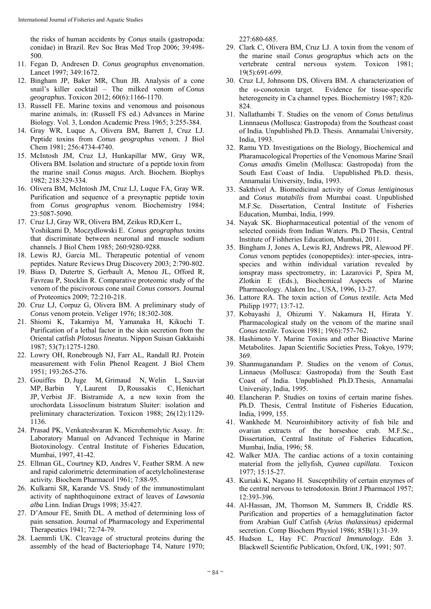the risks of human accidents by *Conus* snails (gastropoda: conidae) in Brazil. Rev Soc Bras Med Trop 2006; 39:498- 500.

- 11. Fegan D, Andresen D. *Conus geographus* envenomation. Lancet 1997; 349:1672.
- 12. Bingham JP, Baker MR, Chun JB. Analysis of a cone snail's killer cocktail – The milked venom of *Conus geographus.* Toxicon 2012; 60(6):1166-1170.
- 13. Russell FE. Marine toxins and venomous and poisonous marine animals, in: (Russell FS ed.) Advances in Marine Biology. Vol. 3, London Academic Press 1965; 3:255-384.
- 14. Gray WR, Luque A, Olivera BM, Barrett J, Cruz LJ. Peptide toxins from *Conus geographus* venom. J Biol Chem 1981; 256:4734-4740.
- 15. McIntosh JM, Cruz LJ, Hunkapillar MW, Gray WR, Olivera BM. Isolation and structure of a peptide toxin from the marine snail *Conus magus*. Arch. Biochem. Biophys 1982; 218:329-334.
- 16. Olivera BM, McIntosh JM, Cruz LJ, Luque FA, Gray WR. Purification and sequence of a presynaptic peptide toxin from *Conus geographus* venom. Biochemistry 1984; 23:5087-5090.
- 17. Cruz LJ, Gray WR, Olivera BM, Zeikus RD,Kerr L, Yoshikami D, Moczydlowski E. *Conus geographus* toxins that discriminate between neuronal and muscle sodium channels. J Biol Chem 1985; 260:9280-9288.
- 18. Lewis RJ, Garcia ML. Therapeutic potential of venom peptides. Nature Reviews Drug Discovery 2003; 2:790-802.
- 19. Biass D, Dutertre S, Gerbault A, Menou JL, Offord R, Favreau P, Stocklin R. Comparative proteomic study of the venom of the piscivorous cone snail *Conus consors*. Journal of Proteomics 2009; 72:210-218.
- 20. Cruz LJ, Corpuz G, Olivera BM. A preliminary study of *Conus* venom protein. Veliger 1976; 18:302-308.
- 21. Shiomi K, Takamiya M, Yamanaka H, Kikuchi T. Purification of a lethal factor in the skin secretion from the Oriental catfish *Plotosus lineatus.* Nippon Suisan Gakkaishi 1987; 53(7):1275-1280.
- 22. Lowry OH, Ronebrough NJ, Farr AL, Randall RJ. Protein measurement with Folin Phenol Reagent. J Biol Chem 1951; 193:265-276.
- 23. Gouiffes D, Juge M, Grimaud N, Welin L, Sauviat MP, Barbin Y, Laurent D, Roussakis C, Henichart JP, Verbist JF. Bistramide A, a new toxin from the urochordata Lissoclinum bistratum Sluiter: isolation and preliminary characterization. Toxicon 1988; 26(12):1129- 1136.
- 24. Prasad PK, Venkateshvaran K. Microhemolytic Assay. *In*: Laboratory Manual on Advanced Technique in Marine Biotoxinology. Central Institute of Fisheries Education, Mumbai, 1997, 41-42.
- 25. Ellman GL, Courtney KD, Andres V, Feather SRM. A new and rapid calorimetric determination of acetylcholinesterase activity. Biochem Pharmacol 1961; 7:88-95.
- 26. Kulkarni SR, Karande VS. Study of the immunostimulant activity of naphthoquinone extract of leaves of *Lawsonia alba* Linn. Indian Drugs 1998; 35:427.
- 27. D'Amour FE, Smith DL. A method of determining loss of pain sensation. Journal of Pharmacology and Experimental Therapeutics 1941; 72:74-79.
- 28. Laemmli UK. Cleavage of structural proteins during the assembly of the head of Bacteriophage T4, Nature 1970;

227:680-685.

- 29. Clark C, Olivera BM, Cruz LJ. A toxin from the venom of the marine snail *Conus geographus* which acts on the vertebrate central nervous system. Toxicon 1981; 19(5):691-699.
- 30. Cruz LJ, Johnsonn DS, Olivera BM. A characterization of the  $\omega$ -conotoxin target. Evidence for tissue-specific heterogeneity in Ca channel types. Biochemistry 1987; 820- 824.
- 31. Nallathambi T. Studies on the venom of *Conus betulinus* Linnnaeus (Mollusca: Gastropoda) from the Southeast coast of India. Unpublished Ph.D. Thesis. Annamalai University, India, 1993.
- 32. Ramu YD. Investigations on the Biology, Biochemical and Pharamacological Properties of the Venomous Marine Snail *Conus amadis* Gmelin (Mollusca: Gastropoda) from the South East Coast of India. Unpublished Ph.D. thesis, Annamalai University, India, 1993.
- 33. Sakthivel A. Biomedicinal activity of *Conus lentiginosus* and *Conus mutabilis* from Mumbai coast. Unpublished M.F.Sc. Dissertation, Central Institute of Fisheries Education, Mumbai, India, 1999.
- 34. Nayak SK. Biopharmaceutical potential of the venom of selected coniids from Indian Waters. Ph.D Thesis, Central Institute of Fishheries Education, Mumbai, 2011.
- 35. Bingham J, Jones A, Lewis RJ, Andrews PR, Alewood PF. *Conus* venom peptides (conopeptides): inter-species, intraspecies and within individual variation revealed by ionspray mass spectrometry, in: Lazarovici P, Spira M, Zlotkin E (Eds.), Biochemical Aspects of Marine Pharmacology. Alaken Inc., USA, 1996, 13-27.
- 36. Lattore RA. The toxin action of *Conus textile.* Acta Med Philipp 1977; 13:7-12.
- 37. Kobayashi J, Ohizumi Y. Nakamura H, Hirata Y. Pharmacological study on the venom of the marine snail *Conus textile*. Toxicon 1981; 19(6):757-762.
- 38. Hashimoto Y. Marine Toxins and other Bioactive Marine Metabolites. Japan Scientific Societies Press, Tokyo, 1979; 369.
- 39. Shanmuganandam P. Studies on the venom of *Conus*, Linnaeus (Mollusca: Gastropoda) from the South East Coast of India. Unpublished Ph.D.Thesis, Annamalai University, India, 1995.
- 40. Elancheran P. Studies on toxins of certain marine fishes. Ph.D. Thesis, Central Institute of Fisheries Education, India, 1999, 155.
- 41. Wankhede M. Neuroinhibitory activity of fish bile and ovarian extracts of the horseshoe crab. M.F.Sc., Dissertation, Central Institute of Fisheries Education, Mumbai, India, 1996; 58.
- 42. Walker MJA. The cardiac actions of a toxin containing material from the jellyfish, *Cyanea capillata*. Toxicon 1977; 15:15-27.
- 43. Kuriaki K, Nagano H. Susceptibility of certain enzymes of the central nervous to tetrodotoxin. Brint J Pharmacol 1957; 12:393-396.
- 44. Al-Hassan, JM, Thomson M, Summers B, Criddle RS. Purification and properties of a hemagglutination factor from Arabian Gulf Catfish (*Arius thalassinus)* epidermal secretion. Comp Biochem Physiol 1986; 85B(1):31-39.
- 45. Hudson L, Hay FC. *Practical Immunology*. Edn 3. Blackwell Scientific Publication, Oxford, UK, 1991; 507.